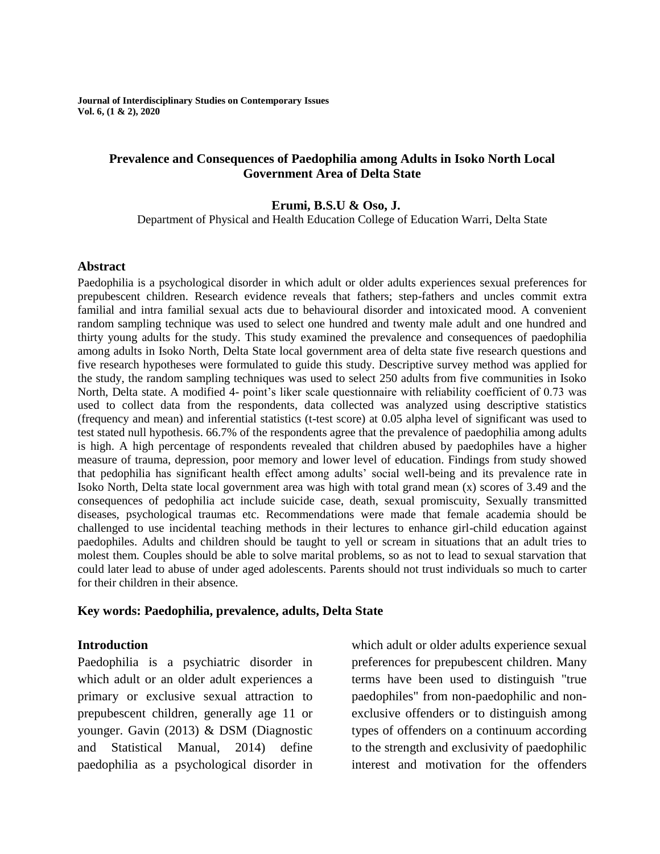**Journal of Interdisciplinary Studies on Contemporary Issues Vol. 6, (1 & 2), 2020**

### **Prevalence and Consequences of Paedophilia among Adults in Isoko North Local Government Area of Delta State**

#### **Erumi, B.S.U & Oso, J.**

Department of Physical and Health Education College of Education Warri, Delta State

#### **Abstract**

Paedophilia is a psychological disorder in which adult or older adults experiences sexual preferences for prepubescent children. Research evidence reveals that fathers; step-fathers and uncles commit extra familial and intra familial sexual acts due to behavioural disorder and intoxicated mood. A convenient random sampling technique was used to select one hundred and twenty male adult and one hundred and thirty young adults for the study. This study examined the prevalence and consequences of paedophilia among adults in Isoko North, Delta State local government area of delta state five research questions and five research hypotheses were formulated to guide this study. Descriptive survey method was applied for the study, the random sampling techniques was used to select 250 adults from five communities in Isoko North, Delta state. A modified 4- point's liker scale questionnaire with reliability coefficient of 0.73 was used to collect data from the respondents, data collected was analyzed using descriptive statistics (frequency and mean) and inferential statistics (t-test score) at 0.05 alpha level of significant was used to test stated null hypothesis. 66.7% of the respondents agree that the prevalence of paedophilia among adults is high. A high percentage of respondents revealed that children abused by paedophiles have a higher measure of trauma, depression, poor memory and lower level of education. Findings from study showed that pedophilia has significant health effect among adults' social well-being and its prevalence rate in Isoko North, Delta state local government area was high with total grand mean (x) scores of 3.49 and the consequences of pedophilia act include suicide case, death, sexual promiscuity, Sexually transmitted diseases, psychological traumas etc. Recommendations were made that female academia should be challenged to use incidental teaching methods in their lectures to enhance girl-child education against paedophiles. Adults and children should be taught to yell or scream in situations that an adult tries to molest them. Couples should be able to solve marital problems, so as not to lead to sexual starvation that could later lead to abuse of under aged adolescents. Parents should not trust individuals so much to carter for their children in their absence.

#### **Key words: Paedophilia, prevalence, adults, Delta State**

#### **Introduction**

Paedophilia is a psychiatric disorder in which adult or an older adult experiences a primary or exclusive sexual attraction to prepubescent children, generally age 11 or younger. Gavin (2013) & DSM (Diagnostic and Statistical Manual, 2014) define paedophilia as a psychological disorder in which adult or older adults experience sexual preferences for prepubescent children. Many terms have been used to distinguish "true paedophiles" from non-paedophilic and nonexclusive offenders or to distinguish among types of offenders on a continuum according to the strength and exclusivity of paedophilic interest and motivation for the offenders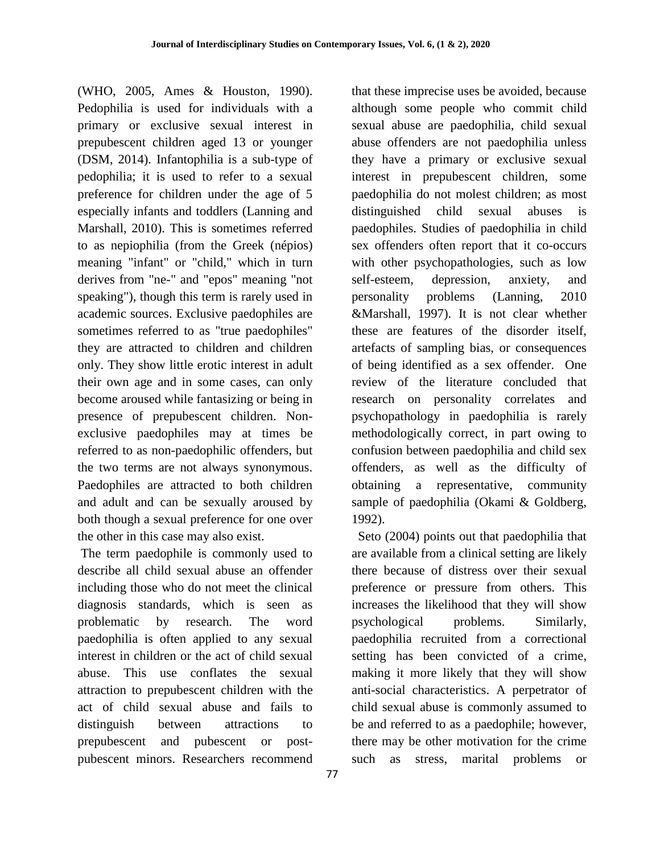(WHO, 2005, Ames & Houston, 1990). Pedophilia is used for individuals with a primary or exclusive sexual interest in prepubescent children aged 13 or younger (DSM, 2014). Infantophilia is a sub-type of pedophilia; it is used to refer to a sexual preference for children under the age of 5 especially infants and toddlers (Lanning and Marshall, 2010). This is sometimes referred to as nepiophilia (from the Greek (népios) meaning "infant" or "child," which in turn derives from "ne-" and "epos" meaning "not speaking"), though this term is rarely used in academic sources. Exclusive paedophiles are sometimes referred to as "true paedophiles" they are attracted to children and children only. They show little erotic interest in adult their own age and in some cases, can only become aroused while fantasizing or being in presence of prepubescent children. Nonexclusive paedophiles may at times be referred to as non-paedophilic offenders, but the two terms are not always synonymous. Paedophiles are attracted to both children and adult and can be sexually aroused by both though a sexual preference for one over the other in this case may also exist.

The term paedophile is commonly used to describe all child sexual abuse an offender including those who do not meet the clinical diagnosis standards, which is seen as problematic by research. The word paedophilia is often applied to any sexual interest in children or the act of child sexual abuse. This use conflates the sexual attraction to prepubescent children with the act of child sexual abuse and fails to distinguish between attractions to prepubescent and pubescent or postpubescent minors. Researchers recommend

that these imprecise uses be avoided, because although some people who commit child sexual abuse are paedophilia, child sexual abuse offenders are not paedophilia unless they have a primary or exclusive sexual interest in prepubescent children, some paedophilia do not molest children; as most distinguished child sexual abuses is paedophiles. Studies of paedophilia in child sex offenders often report that it co-occurs with other psychopathologies, such as low self-esteem, depression, anxiety, and personality problems (Lanning, 2010 &Marshall, 1997). It is not clear whether these are features of the disorder itself, artefacts of sampling bias, or consequences of being identified as a sex offender. One review of the literature concluded that research on personality correlates and psychopathology in paedophilia is rarely methodologically correct, in part owing to confusion between paedophilia and child sex offenders, as well as the difficulty of obtaining a representative, community sample of paedophilia (Okami & Goldberg, 1992).

 Seto (2004) points out that paedophilia that are available from a clinical setting are likely there because of distress over their sexual preference or pressure from others. This increases the likelihood that they will show psychological problems. Similarly, paedophilia recruited from a correctional setting has been convicted of a crime, making it more likely that they will show anti-social characteristics. A perpetrator of child sexual abuse is commonly assumed to be and referred to as a paedophile; however, there may be other motivation for the crime such as stress, marital problems or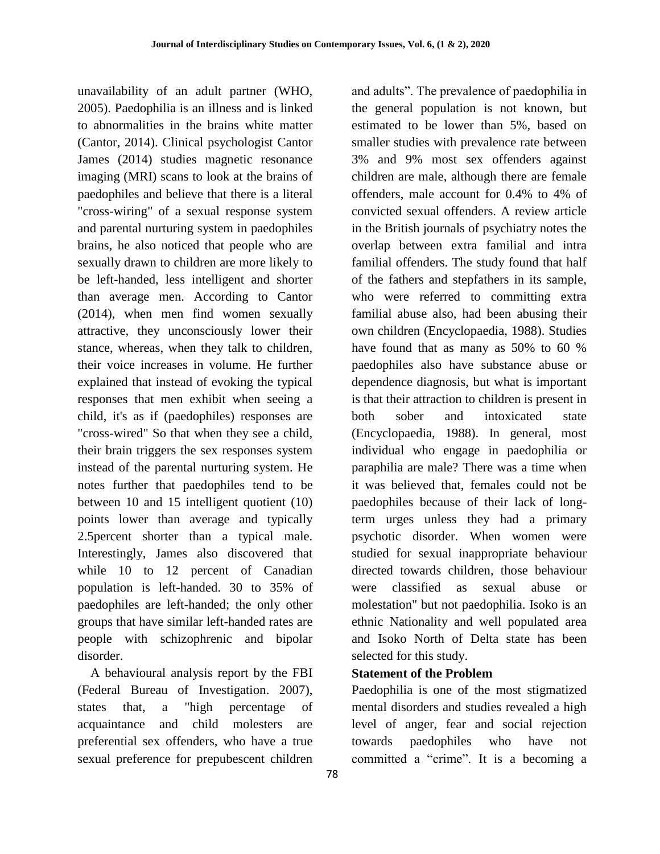unavailability of an adult partner (WHO, 2005). Paedophilia is an illness and is linked to abnormalities in the brains white matter (Cantor, 2014). Clinical psychologist Cantor James (2014) studies magnetic resonance imaging (MRI) scans to look at the brains of paedophiles and believe that there is a literal "cross-wiring" of a sexual response system and parental nurturing system in paedophiles brains, he also noticed that people who are sexually drawn to children are more likely to be left-handed, less intelligent and shorter than average men. According to Cantor (2014), when men find women sexually attractive, they unconsciously lower their stance, whereas, when they talk to children, their voice increases in volume. He further explained that instead of evoking the typical responses that men exhibit when seeing a child, it's as if (paedophiles) responses are "cross-wired" So that when they see a child, their brain triggers the sex responses system instead of the parental nurturing system. He notes further that paedophiles tend to be between 10 and 15 intelligent quotient (10) points lower than average and typically 2.5percent shorter than a typical male. Interestingly, James also discovered that while 10 to 12 percent of Canadian population is left-handed. 30 to 35% of paedophiles are left-handed; the only other groups that have similar left-handed rates are people with schizophrenic and bipolar disorder.

 A behavioural analysis report by the FBI (Federal Bureau of Investigation. 2007), states that, a "high percentage of acquaintance and child molesters are preferential sex offenders, who have a true sexual preference for prepubescent children

and adults". The prevalence of paedophilia in the general population is not known, but estimated to be lower than 5%, based on smaller studies with prevalence rate between 3% and 9% most sex offenders against children are male, although there are female offenders, male account for 0.4% to 4% of convicted sexual offenders. A review article in the British journals of psychiatry notes the overlap between extra familial and intra familial offenders. The study found that half of the fathers and stepfathers in its sample, who were referred to committing extra familial abuse also, had been abusing their own children (Encyclopaedia, 1988). Studies have found that as many as 50% to 60 % paedophiles also have substance abuse or dependence diagnosis, but what is important is that their attraction to children is present in both sober and intoxicated state (Encyclopaedia, 1988). In general, most individual who engage in paedophilia or paraphilia are male? There was a time when it was believed that, females could not be paedophiles because of their lack of longterm urges unless they had a primary psychotic disorder. When women were studied for sexual inappropriate behaviour directed towards children, those behaviour were classified as sexual abuse or molestation" but not paedophilia. Isoko is an ethnic Nationality and well populated area and Isoko North of Delta state has been selected for this study.

## **Statement of the Problem**

Paedophilia is one of the most stigmatized mental disorders and studies revealed a high level of anger, fear and social rejection towards paedophiles who have not committed a "crime". It is a becoming a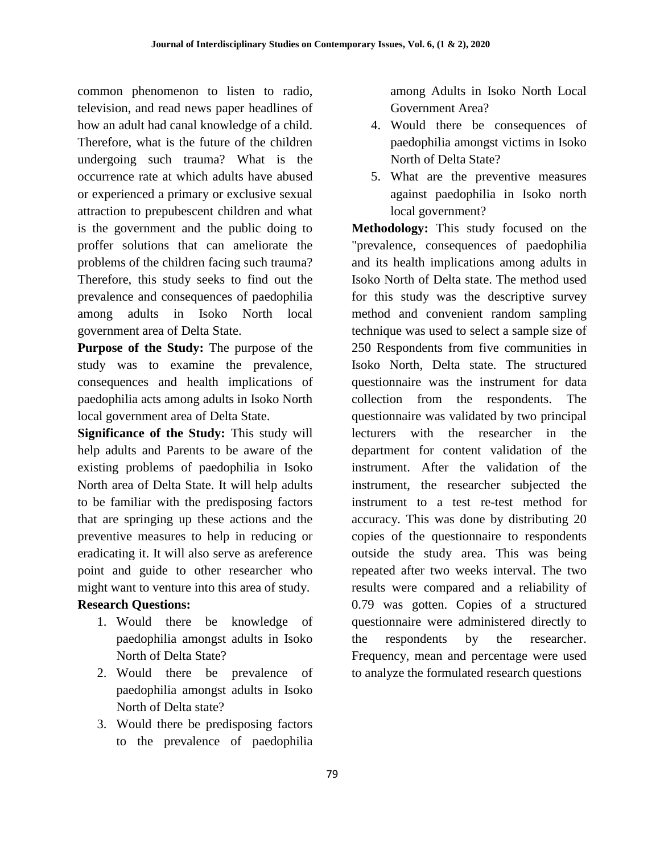common phenomenon to listen to radio, television, and read news paper headlines of how an adult had canal knowledge of a child. Therefore, what is the future of the children undergoing such trauma? What is the occurrence rate at which adults have abused or experienced a primary or exclusive sexual attraction to prepubescent children and what is the government and the public doing to proffer solutions that can ameliorate the problems of the children facing such trauma? Therefore, this study seeks to find out the prevalence and consequences of paedophilia among adults in Isoko North local government area of Delta State.

**Purpose of the Study:** The purpose of the study was to examine the prevalence, consequences and health implications of paedophilia acts among adults in Isoko North local government area of Delta State.

**Significance of the Study:** This study will help adults and Parents to be aware of the existing problems of paedophilia in Isoko North area of Delta State. It will help adults to be familiar with the predisposing factors that are springing up these actions and the preventive measures to help in reducing or eradicating it. It will also serve as areference point and guide to other researcher who might want to venture into this area of study. **Research Questions:**

- - 1. Would there be knowledge of paedophilia amongst adults in Isoko North of Delta State?
	- 2. Would there be prevalence of paedophilia amongst adults in Isoko North of Delta state?
	- 3. Would there be predisposing factors to the prevalence of paedophilia

among Adults in Isoko North Local Government Area?

- 4. Would there be consequences of paedophilia amongst victims in Isoko North of Delta State?
- 5. What are the preventive measures against paedophilia in Isoko north local government?

**Methodology:** This study focused on the "prevalence, consequences of paedophilia and its health implications among adults in Isoko North of Delta state. The method used for this study was the descriptive survey method and convenient random sampling technique was used to select a sample size of 250 Respondents from five communities in Isoko North, Delta state. The structured questionnaire was the instrument for data collection from the respondents. The questionnaire was validated by two principal lecturers with the researcher in the department for content validation of the instrument. After the validation of the instrument, the researcher subjected the instrument to a test re-test method for accuracy. This was done by distributing 20 copies of the questionnaire to respondents outside the study area. This was being repeated after two weeks interval. The two results were compared and a reliability of 0.79 was gotten. Copies of a structured questionnaire were administered directly to the respondents by the researcher. Frequency, mean and percentage were used to analyze the formulated research questions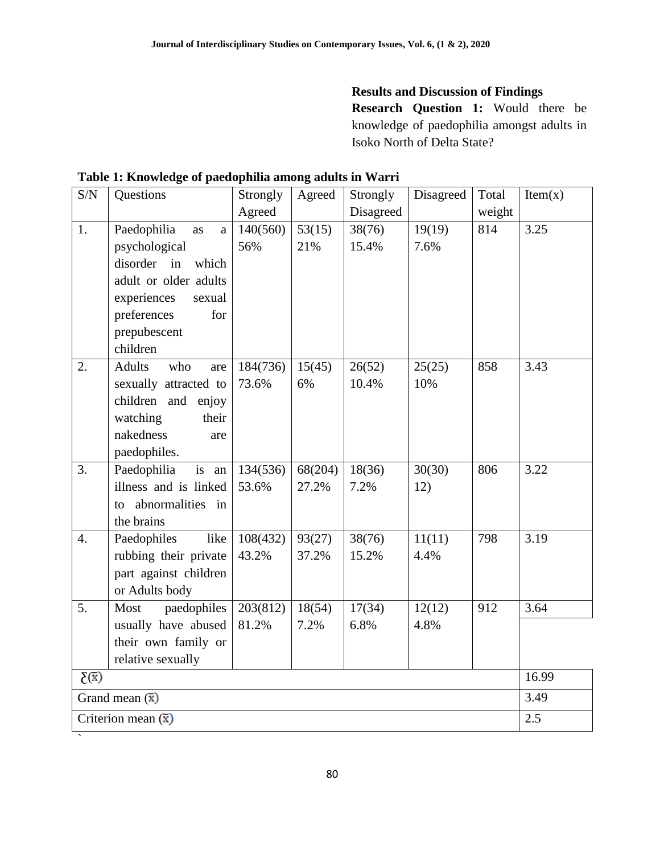# **Results and Discussion of Findings Research Question 1:** Would there be knowledge of paedophilia amongst adults in Isoko North of Delta State?

| S/N               | Questions                                | Strongly | Agreed  | Strongly  | Disagreed           | Total  | Item(x) |
|-------------------|------------------------------------------|----------|---------|-----------|---------------------|--------|---------|
|                   |                                          | Agreed   |         | Disagreed |                     | weight |         |
| 1.                | Paedophilia<br>as<br>a                   | 140(560) | 53(15)  | 38(76)    | $\overline{19(19)}$ | 814    | 3.25    |
|                   | psychological                            | 56%      | 21%     | 15.4%     | 7.6%                |        |         |
|                   | disorder in<br>which                     |          |         |           |                     |        |         |
|                   | adult or older adults                    |          |         |           |                     |        |         |
|                   | experiences<br>sexual                    |          |         |           |                     |        |         |
|                   | preferences<br>for                       |          |         |           |                     |        |         |
|                   | prepubescent                             |          |         |           |                     |        |         |
|                   | children                                 |          |         |           |                     |        |         |
| 2.                | <b>Adults</b><br>who<br>are              | 184(736) | 15(45)  | 26(52)    | 25(25)              | 858    | 3.43    |
|                   | sexually attracted to                    | 73.6%    | 6%      | 10.4%     | 10%                 |        |         |
|                   | children and<br>enjoy                    |          |         |           |                     |        |         |
|                   | watching<br>their                        |          |         |           |                     |        |         |
|                   | nakedness<br>are                         |          |         |           |                     |        |         |
|                   | paedophiles.                             |          |         |           |                     |        |         |
| 3.                | Paedophilia<br>is an                     | 134(536) | 68(204) | 18(36)    | 30(30)              | 806    | 3.22    |
|                   | illness and is linked                    | 53.6%    | 27.2%   | 7.2%      | 12)                 |        |         |
|                   | abnormalities in<br>to.                  |          |         |           |                     |        |         |
|                   | the brains                               |          |         |           |                     |        |         |
| $\overline{4}$ .  | Paedophiles<br>like                      | 108(432) | 93(27)  | 38(76)    | 11(11)              | 798    | 3.19    |
|                   | rubbing their private                    | 43.2%    | 37.2%   | 15.2%     | 4.4%                |        |         |
|                   | part against children                    |          |         |           |                     |        |         |
|                   | or Adults body                           |          |         |           |                     |        |         |
| 5.                | Most<br>paedophiles                      | 203(812) | 18(54)  | 17(34)    | 12(12)              | 912    | 3.64    |
|                   | usually have abused                      | 81.2%    | 7.2%    | 6.8%      | 4.8%                |        |         |
|                   | their own family or<br>relative sexually |          |         |           |                     |        |         |
|                   |                                          | 16.99    |         |           |                     |        |         |
| $\Sigma(\bar{x})$ |                                          |          |         |           |                     |        |         |
|                   | Grand mean $(\bar{x})$                   |          |         |           |                     |        | 3.49    |
|                   | Criterion mean $(\bar{x})$               |          |         |           |                     |        | 2.5     |
|                   |                                          |          |         |           |                     |        |         |

**Table 1: Knowledge of paedophilia among adults in Warri**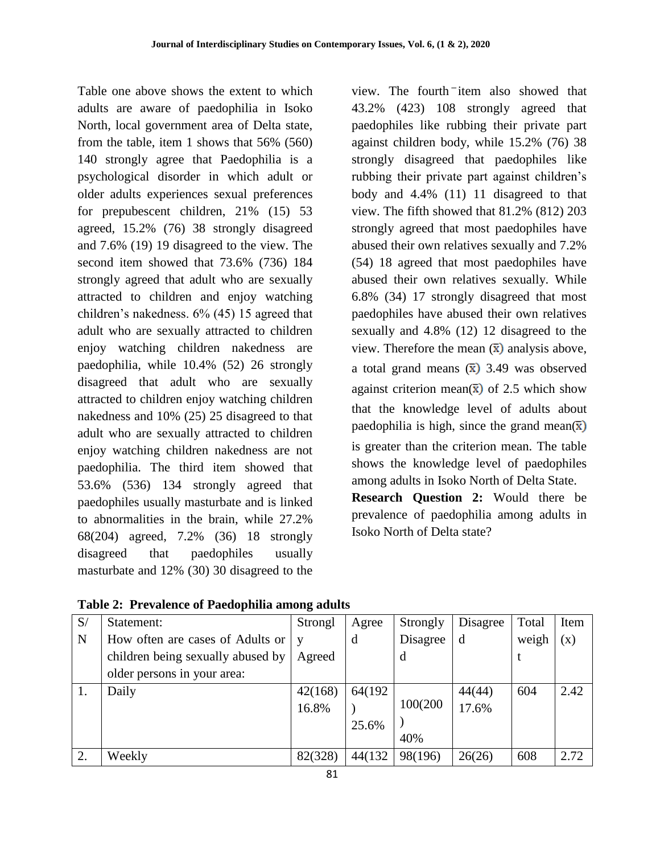Table one above shows the extent to which adults are aware of paedophilia in Isoko North, local government area of Delta state, from the table, item 1 shows that 56% (560) 140 strongly agree that Paedophilia is a psychological disorder in which adult or older adults experiences sexual preferences for prepubescent children, 21% (15) 53 agreed, 15.2% (76) 38 strongly disagreed and 7.6% (19) 19 disagreed to the view. The second item showed that 73.6% (736) 184 strongly agreed that adult who are sexually attracted to children and enjoy watching children's nakedness. 6% (45) 15 agreed that adult who are sexually attracted to children enjoy watching children nakedness are paedophilia, while 10.4% (52) 26 strongly disagreed that adult who are sexually attracted to children enjoy watching children nakedness and 10% (25) 25 disagreed to that adult who are sexually attracted to children enjoy watching children nakedness are not paedophilia. The third item showed that 53.6% (536) 134 strongly agreed that paedophiles usually masturbate and is linked to abnormalities in the brain, while 27.2% 68(204) agreed, 7.2% (36) 18 strongly disagreed that paedophiles usually masturbate and 12% (30) 30 disagreed to the

view. The fourth item also showed that 43.2% (423) 108 strongly agreed that paedophiles like rubbing their private part against children body, while 15.2% (76) 38 strongly disagreed that paedophiles like rubbing their private part against children's body and 4.4% (11) 11 disagreed to that view. The fifth showed that 81.2% (812) 203 strongly agreed that most paedophiles have abused their own relatives sexually and 7.2% (54) 18 agreed that most paedophiles have abused their own relatives sexually. While 6.8% (34) 17 strongly disagreed that most paedophiles have abused their own relatives sexually and 4.8% (12) 12 disagreed to the view. Therefore the mean  $(\bar{x})$  analysis above, a total grand means  $(\bar{x})$  3.49 was observed against criterion mean( $\bar{x}$ ) of 2.5 which show that the knowledge level of adults about paedophilia is high, since the grand mean( $\overline{x}$ ) is greater than the criterion mean. The table shows the knowledge level of paedophiles among adults in Isoko North of Delta State. **Research Question 2:** Would there be prevalence of paedophilia among adults in Isoko North of Delta state?

|    | $\sim$ 02 = $\sim$ 000 $\sim$ parameter versioning vectors. |         |         |          |          |       |      |  |  |  |
|----|-------------------------------------------------------------|---------|---------|----------|----------|-------|------|--|--|--|
| S/ | Statement:                                                  | Strongl | Agree   | Strongly | Disagree | Total | Item |  |  |  |
| N  | How often are cases of Adults or                            |         | d       | Disagree | d        | weigh | (x)  |  |  |  |
|    | children being sexually abused by                           | Agreed  |         | d        |          |       |      |  |  |  |
|    | older persons in your area:                                 |         |         |          |          |       |      |  |  |  |
| 1. | Daily                                                       | 42(168) | 64(192) |          | 44(44)   | 604   | 2.42 |  |  |  |
|    |                                                             | 16.8%   |         | 100(200  | 17.6%    |       |      |  |  |  |
|    |                                                             |         | 25.6%   |          |          |       |      |  |  |  |
|    |                                                             |         |         | 40%      |          |       |      |  |  |  |
| 2. | Weekly                                                      | 82(328) | 44(132) | 98(196)  | 26(26)   | 608   | 2.72 |  |  |  |

**Table 2: Prevalence of Paedophilia among adults**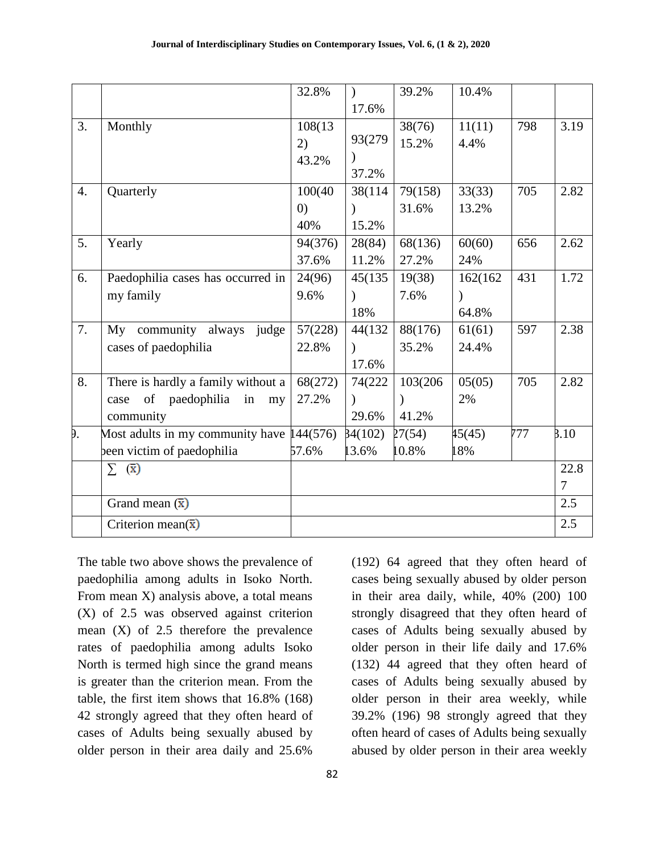|                  |                                             | 32.8%   | $\lambda$ | 39.2%     | 10.4%    |     |                |
|------------------|---------------------------------------------|---------|-----------|-----------|----------|-----|----------------|
|                  |                                             |         | 17.6%     |           |          |     |                |
| 3.               | Monthly                                     | 108(13) |           | 38(76)    | 11(11)   | 798 | 3.19           |
|                  |                                             | 2)      | 93(279)   | 15.2%     | 4.4%     |     |                |
|                  |                                             | 43.2%   |           |           |          |     |                |
|                  |                                             |         | 37.2%     |           |          |     |                |
| $\overline{4}$ . | Quarterly                                   | 100(40) | 38(114    | 79(158)   | 33(33)   | 705 | 2.82           |
|                  |                                             | (0)     |           | 31.6%     | 13.2%    |     |                |
|                  |                                             | 40%     | 15.2%     |           |          |     |                |
| 5.               | Yearly                                      | 94(376) | 28(84)    | 68(136)   | 60(60)   | 656 | 2.62           |
|                  |                                             | 37.6%   | 11.2%     | 27.2%     | 24%      |     |                |
| 6.               | Paedophilia cases has occurred in           | 24(96)  | 45(135)   | 19(38)    | 162(162) | 431 | 1.72           |
|                  | my family                                   | 9.6%    |           | 7.6%      |          |     |                |
|                  |                                             |         | 18%       |           | 64.8%    |     |                |
| 7.               | community always<br>judge<br>My             | 57(228) | 44(132)   | 88(176)   | 61(61)   | 597 | 2.38           |
|                  | cases of paedophilia                        | 22.8%   |           | 35.2%     | 24.4%    |     |                |
|                  |                                             |         | 17.6%     |           |          |     |                |
| 8.               | There is hardly a family without a          | 68(272) | 74(222)   | 103(206)  | 05(05)   | 705 | 2.82           |
|                  | of<br>paedophilia<br>in<br>case<br>my       | 27.2%   |           | $\lambda$ | 2%       |     |                |
|                  | community                                   |         | 29.6%     | 41.2%     |          |     |                |
| Þ.               | Most adults in my community have $144(576)$ |         | 34(102)   | 27(54)    | 45(45)   | 777 | 3.10           |
|                  | been victim of paedophilia                  | 57.6%   | 13.6%     | 10.8%     | 18%      |     |                |
|                  | $\sum$ (x)                                  |         |           |           |          |     | 22.8           |
|                  |                                             |         |           |           |          |     | $\overline{7}$ |
|                  | Grand mean $(\bar{x})$                      |         |           |           |          |     | 2.5            |
|                  | Criterion mean( $\bar{x}$ )                 |         |           |           |          |     | 2.5            |

The table two above shows the prevalence of paedophilia among adults in Isoko North. From mean X) analysis above, a total means (X) of 2.5 was observed against criterion mean (X) of 2.5 therefore the prevalence rates of paedophilia among adults Isoko North is termed high since the grand means is greater than the criterion mean. From the table, the first item shows that 16.8% (168) 42 strongly agreed that they often heard of cases of Adults being sexually abused by older person in their area daily and 25.6%

82

(192) 64 agreed that they often heard of cases being sexually abused by older person in their area daily, while, 40% (200) 100 strongly disagreed that they often heard of cases of Adults being sexually abused by older person in their life daily and 17.6% (132) 44 agreed that they often heard of cases of Adults being sexually abused by older person in their area weekly, while 39.2% (196) 98 strongly agreed that they often heard of cases of Adults being sexually abused by older person in their area weekly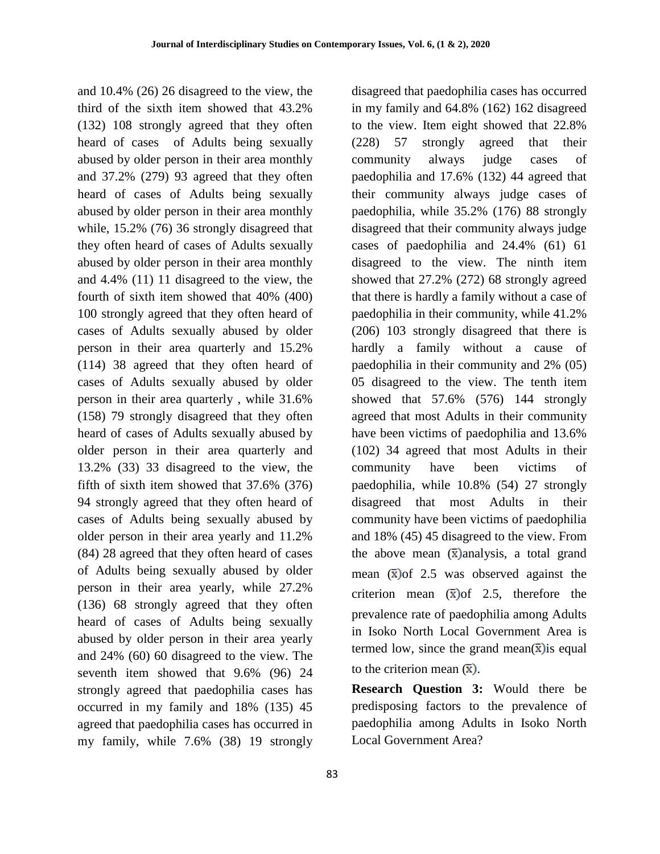and 10.4% (26) 26 disagreed to the view, the third of the sixth item showed that 43.2% (132) 108 strongly agreed that they often heard of cases of Adults being sexually abused by older person in their area monthly and 37.2% (279) 93 agreed that they often heard of cases of Adults being sexually abused by older person in their area monthly while, 15.2% (76) 36 strongly disagreed that they often heard of cases of Adults sexually abused by older person in their area monthly and 4.4% (11) 11 disagreed to the view, the fourth of sixth item showed that 40% (400) 100 strongly agreed that they often heard of cases of Adults sexually abused by older person in their area quarterly and 15.2% (114) 38 agreed that they often heard of cases of Adults sexually abused by older person in their area quarterly , while 31.6% (158) 79 strongly disagreed that they often heard of cases of Adults sexually abused by older person in their area quarterly and 13.2% (33) 33 disagreed to the view, the fifth of sixth item showed that 37.6% (376) 94 strongly agreed that they often heard of cases of Adults being sexually abused by older person in their area yearly and 11.2% (84) 28 agreed that they often heard of cases of Adults being sexually abused by older person in their area yearly, while 27.2% (136) 68 strongly agreed that they often heard of cases of Adults being sexually abused by older person in their area yearly and 24% (60) 60 disagreed to the view. The seventh item showed that 9.6% (96) 24 strongly agreed that paedophilia cases has occurred in my family and 18% (135) 45 agreed that paedophilia cases has occurred in my family, while 7.6% (38) 19 strongly

83

disagreed that paedophilia cases has occurred in my family and 64.8% (162) 162 disagreed to the view. Item eight showed that 22.8% (228) 57 strongly agreed that their community always judge cases of paedophilia and 17.6% (132) 44 agreed that their community always judge cases of paedophilia, while 35.2% (176) 88 strongly disagreed that their community always judge cases of paedophilia and 24.4% (61) 61 disagreed to the view. The ninth item showed that 27.2% (272) 68 strongly agreed that there is hardly a family without a case of paedophilia in their community, while 41.2% (206) 103 strongly disagreed that there is hardly a family without a cause of paedophilia in their community and 2% (05) 05 disagreed to the view. The tenth item showed that 57.6% (576) 144 strongly agreed that most Adults in their community have been victims of paedophilia and 13.6% (102) 34 agreed that most Adults in their community have been victims of paedophilia, while 10.8% (54) 27 strongly disagreed that most Adults in their community have been victims of paedophilia and 18% (45) 45 disagreed to the view. From the above mean  $(\bar{x})$  analysis, a total grand mean  $(\bar{x})$  of 2.5 was observed against the criterion mean  $(\bar{x})$  of 2.5, therefore the prevalence rate of paedophilia among Adults in Isoko North Local Government Area is termed low, since the grand mean $(\overline{x})$  is equal to the criterion mean  $(\overline{\mathbf{x}})$ .

**Research Question 3:** Would there be predisposing factors to the prevalence of paedophilia among Adults in Isoko North Local Government Area?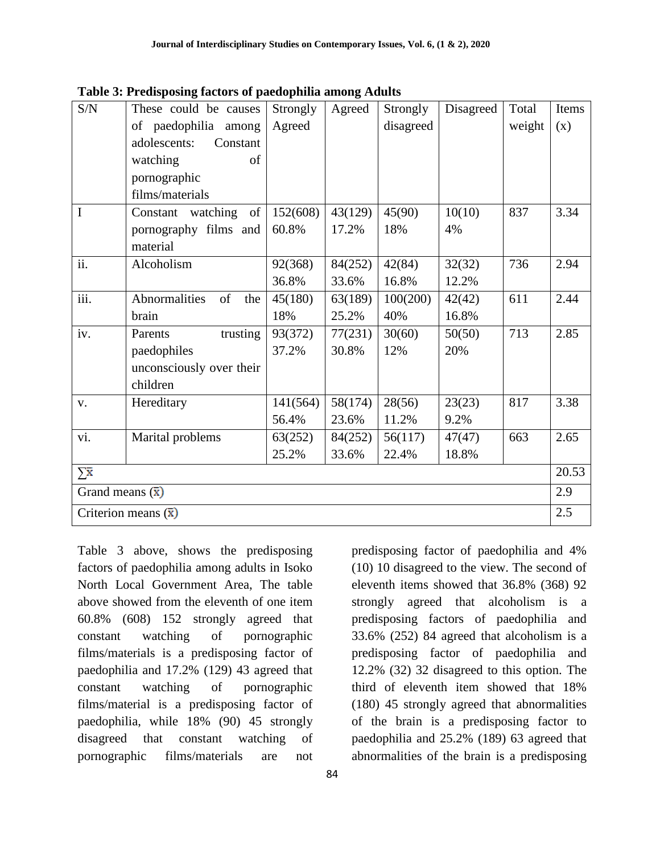| S/N                       | These could be causes       | Strongly | Agreed  | Strongly  | Disagreed | Total  | Items |  |
|---------------------------|-----------------------------|----------|---------|-----------|-----------|--------|-------|--|
|                           | of paedophilia among        | Agreed   |         | disagreed |           | weight | (x)   |  |
|                           | adolescents:<br>Constant    |          |         |           |           |        |       |  |
|                           | watching<br>of              |          |         |           |           |        |       |  |
|                           | pornographic                |          |         |           |           |        |       |  |
|                           | films/materials             |          |         |           |           |        |       |  |
| $\mathbf{I}$              | Constant watching of        | 152(608) | 43(129) | 45(90)    | 10(10)    | 837    | 3.34  |  |
|                           | pornography films and       | 60.8%    | 17.2%   | 18%       | 4%        |        |       |  |
|                           | material                    |          |         |           |           |        |       |  |
| $\overline{ii}$ .         | Alcoholism                  | 92(368)  | 84(252) | 42(84)    | 32(32)    | 736    | 2.94  |  |
|                           |                             | 36.8%    | 33.6%   | 16.8%     | 12.2%     |        |       |  |
| $\overline{\text{iii}}$ . | Abnormalities<br>of<br>the  | 45(180)  | 63(189) | 100(200)  | 42(42)    | 611    | 2.44  |  |
|                           | brain                       | 18%      | 25.2%   | 40%       | 16.8%     |        |       |  |
| iv.                       | trusting<br>Parents         | 93(372)  | 77(231) | 30(60)    | 50(50)    | 713    | 2.85  |  |
|                           | paedophiles                 | 37.2%    | 30.8%   | 12%       | 20%       |        |       |  |
|                           | unconsciously over their    |          |         |           |           |        |       |  |
|                           | children                    |          |         |           |           |        |       |  |
| V.                        | Hereditary                  | 141(564) | 58(174) | 28(56)    | 23(23)    | 817    | 3.38  |  |
|                           |                             | 56.4%    | 23.6%   | 11.2%     | 9.2%      |        |       |  |
| vi.                       | Marital problems            | 63(252)  | 84(252) | 56(117)   | 47(47)    | 663    | 2.65  |  |
|                           |                             | 25.2%    | 33.6%   | 22.4%     | 18.8%     |        |       |  |
| $\sum$ X                  |                             |          |         |           |           |        |       |  |
| Grand means $(\bar{x})$   |                             |          |         |           |           |        | 2.9   |  |
|                           | Criterion means $(\bar{x})$ |          |         |           |           |        | 2.5   |  |

**Table 3: Predisposing factors of paedophilia among Adults**

Table 3 above, shows the predisposing factors of paedophilia among adults in Isoko North Local Government Area, The table above showed from the eleventh of one item 60.8% (608) 152 strongly agreed that constant watching of pornographic films/materials is a predisposing factor of paedophilia and 17.2% (129) 43 agreed that constant watching of pornographic films/material is a predisposing factor of paedophilia, while 18% (90) 45 strongly disagreed that constant watching of pornographic films/materials are not

predisposing factor of paedophilia and 4% (10) 10 disagreed to the view. The second of eleventh items showed that 36.8% (368) 92 strongly agreed that alcoholism is a predisposing factors of paedophilia and 33.6% (252) 84 agreed that alcoholism is a predisposing factor of paedophilia and 12.2% (32) 32 disagreed to this option. The third of eleventh item showed that 18% (180) 45 strongly agreed that abnormalities of the brain is a predisposing factor to paedophilia and 25.2% (189) 63 agreed that abnormalities of the brain is a predisposing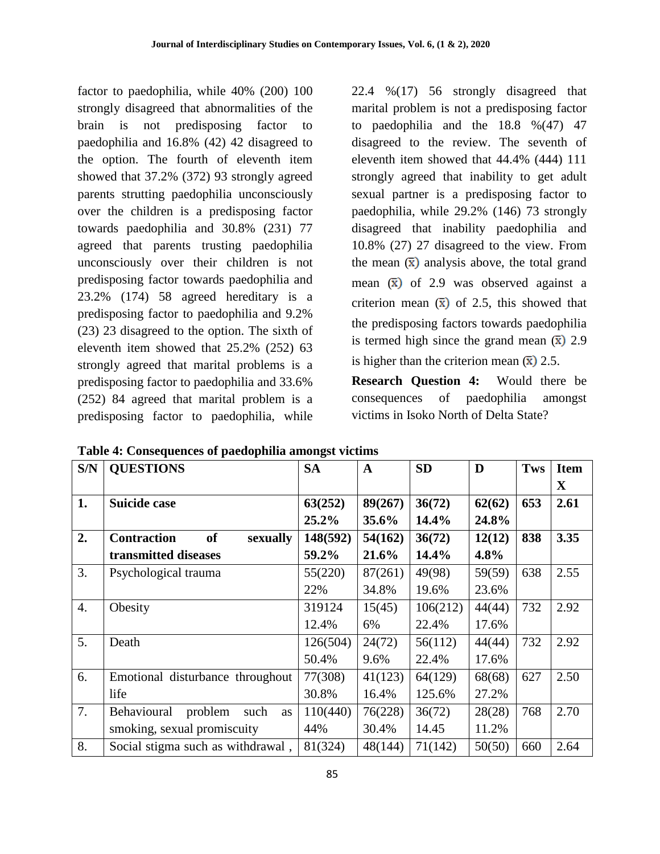factor to paedophilia, while 40% (200) 100 strongly disagreed that abnormalities of the brain is not predisposing factor to paedophilia and 16.8% (42) 42 disagreed to the option. The fourth of eleventh item showed that 37.2% (372) 93 strongly agreed parents strutting paedophilia unconsciously over the children is a predisposing factor towards paedophilia and 30.8% (231) 77 agreed that parents trusting paedophilia unconsciously over their children is not predisposing factor towards paedophilia and 23.2% (174) 58 agreed hereditary is a predisposing factor to paedophilia and 9.2% (23) 23 disagreed to the option. The sixth of eleventh item showed that 25.2% (252) 63 strongly agreed that marital problems is a predisposing factor to paedophilia and 33.6% (252) 84 agreed that marital problem is a predisposing factor to paedophilia, while

22.4 %(17) 56 strongly disagreed that marital problem is not a predisposing factor to paedophilia and the  $18.8 \quad \frac{\cancel{6}}{\cancel{47}} \quad 47$ disagreed to the review. The seventh of eleventh item showed that 44.4% (444) 111 strongly agreed that inability to get adult sexual partner is a predisposing factor to paedophilia, while 29.2% (146) 73 strongly disagreed that inability paedophilia and 10.8% (27) 27 disagreed to the view. From the mean  $(\bar{x})$  analysis above, the total grand mean  $(\bar{x})$  of 2.9 was observed against a criterion mean  $(\bar{x})$  of 2.5, this showed that the predisposing factors towards paedophilia is termed high since the grand mean  $(\bar{x})$  2.9 is higher than the criterion mean  $(\bar{x})$  2.5.

**Research Question 4:** Would there be consequences of paedophilia amongst victims in Isoko North of Delta State?

| S/N | <b>QUESTIONS</b>                            | <b>SA</b> | A       | <b>SD</b> | D       | <b>Tws</b> | <b>Item</b> |
|-----|---------------------------------------------|-----------|---------|-----------|---------|------------|-------------|
|     |                                             |           |         |           |         |            | $\mathbf X$ |
| 1.  | Suicide case                                | 63(252)   | 89(267) | 36(72)    | 62(62)  | 653        | 2.61        |
|     |                                             | 25.2%     | 35.6%   | 14.4%     | 24.8%   |            |             |
| 2.  | <b>Contraction</b><br><b>of</b><br>sexually | 148(592)  | 54(162) | 36(72)    | 12(12)  | 838        | 3.35        |
|     | transmitted diseases                        | 59.2%     | 21.6%   | 14.4%     | $4.8\%$ |            |             |
| 3.  | Psychological trauma                        | 55(220)   | 87(261) | 49(98)    | 59(59)  | 638        | 2.55        |
|     |                                             | 22%       | 34.8%   | 19.6%     | 23.6%   |            |             |
| 4.  | Obesity                                     | 319124    | 15(45)  | 106(212)  | 44(44)  | 732        | 2.92        |
|     |                                             | 12.4%     | 6%      | 22.4%     | 17.6%   |            |             |
| 5.  | Death                                       | 126(504)  | 24(72)  | 56(112)   | 44(44)  | 732        | 2.92        |
|     |                                             | 50.4%     | 9.6%    | 22.4%     | 17.6%   |            |             |
| 6.  | Emotional disturbance throughout            | 77(308)   | 41(123) | 64(129)   | 68(68)  | 627        | 2.50        |
|     | life                                        | 30.8%     | 16.4%   | 125.6%    | 27.2%   |            |             |
| 7.  | Behavioural<br>problem<br>such<br>as        | 110(440)  | 76(228) | 36(72)    | 28(28)  | 768        | 2.70        |
|     | smoking, sexual promiscuity                 | 44%       | 30.4%   | 14.45     | 11.2%   |            |             |
| 8.  | Social stigma such as withdrawal,           | 81(324)   | 48(144) | 71(142)   | 50(50)  | 660        | 2.64        |

**Table 4: Consequences of paedophilia amongst victims**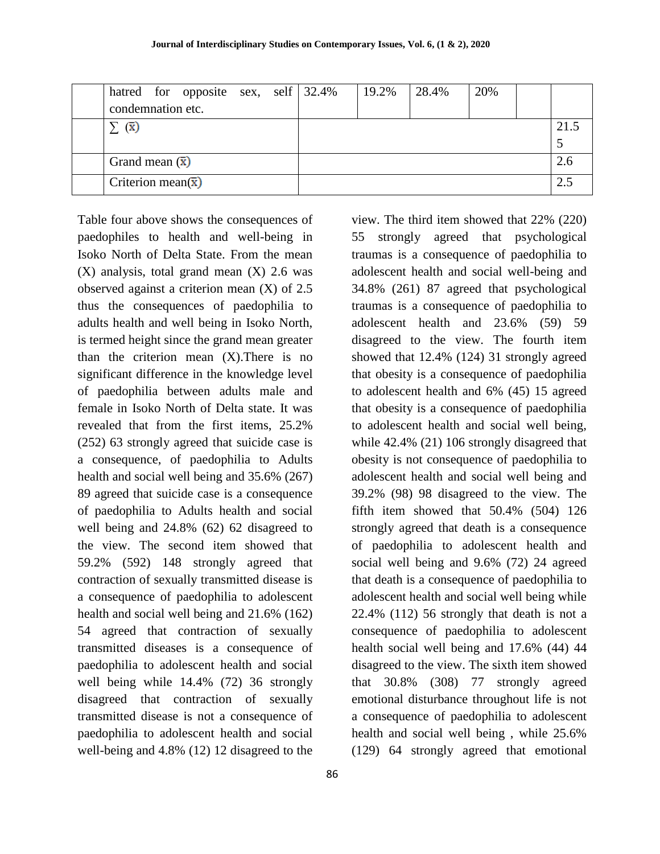|                             | hatred for opposite sex, self 32.4% |  | 19.2% | 28.4% | 20% |      |
|-----------------------------|-------------------------------------|--|-------|-------|-----|------|
| condemnation etc.           |                                     |  |       |       |     |      |
| $(\bar{x})$                 |                                     |  |       |       |     | 21.5 |
|                             |                                     |  |       |       |     |      |
| Grand mean $(\bar{x})$      |                                     |  |       |       |     | 2.6  |
| Criterion mean( $\bar{x}$ ) |                                     |  |       |       |     | 2.3  |

Table four above shows the consequences of paedophiles to health and well-being in Isoko North of Delta State. From the mean  $(X)$  analysis, total grand mean  $(X)$  2.6 was observed against a criterion mean (X) of 2.5 thus the consequences of paedophilia to adults health and well being in Isoko North, is termed height since the grand mean greater than the criterion mean  $(X)$ . There is no significant difference in the knowledge level of paedophilia between adults male and female in Isoko North of Delta state. It was revealed that from the first items, 25.2% (252) 63 strongly agreed that suicide case is a consequence, of paedophilia to Adults health and social well being and 35.6% (267) 89 agreed that suicide case is a consequence of paedophilia to Adults health and social well being and 24.8% (62) 62 disagreed to the view. The second item showed that 59.2% (592) 148 strongly agreed that contraction of sexually transmitted disease is a consequence of paedophilia to adolescent health and social well being and 21.6% (162) 54 agreed that contraction of sexually transmitted diseases is a consequence of paedophilia to adolescent health and social well being while 14.4% (72) 36 strongly disagreed that contraction of sexually transmitted disease is not a consequence of paedophilia to adolescent health and social well-being and 4.8% (12) 12 disagreed to the

view. The third item showed that 22% (220) 55 strongly agreed that psychological traumas is a consequence of paedophilia to adolescent health and social well-being and 34.8% (261) 87 agreed that psychological traumas is a consequence of paedophilia to adolescent health and 23.6% (59) 59 disagreed to the view. The fourth item showed that 12.4% (124) 31 strongly agreed that obesity is a consequence of paedophilia to adolescent health and 6% (45) 15 agreed that obesity is a consequence of paedophilia to adolescent health and social well being, while 42.4% (21) 106 strongly disagreed that obesity is not consequence of paedophilia to adolescent health and social well being and 39.2% (98) 98 disagreed to the view. The fifth item showed that 50.4% (504) 126 strongly agreed that death is a consequence of paedophilia to adolescent health and social well being and 9.6% (72) 24 agreed that death is a consequence of paedophilia to adolescent health and social well being while 22.4% (112) 56 strongly that death is not a consequence of paedophilia to adolescent health social well being and 17.6% (44) 44 disagreed to the view. The sixth item showed that 30.8% (308) 77 strongly agreed emotional disturbance throughout life is not a consequence of paedophilia to adolescent health and social well being , while 25.6% (129) 64 strongly agreed that emotional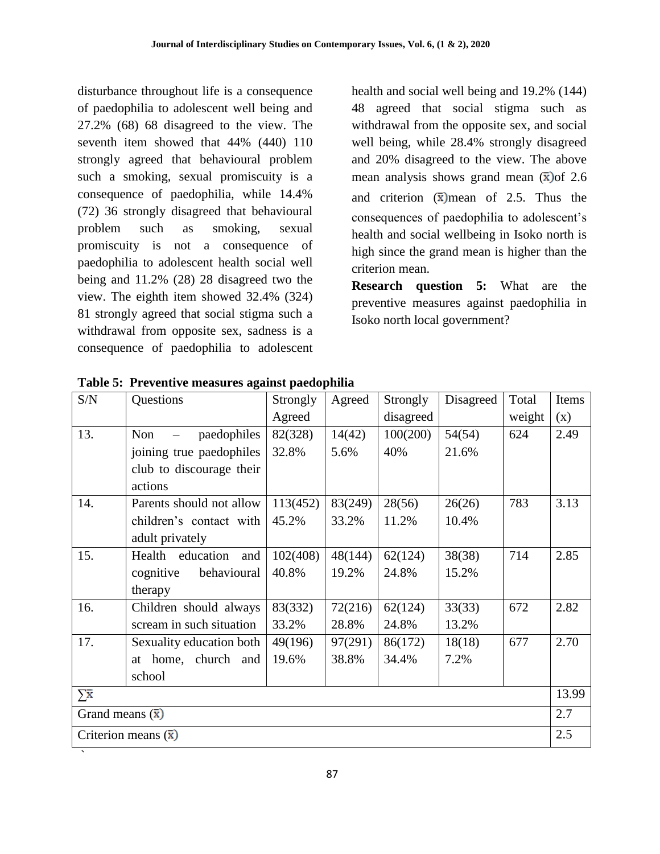disturbance throughout life is a consequence of paedophilia to adolescent well being and 27.2% (68) 68 disagreed to the view. The seventh item showed that 44% (440) 110 strongly agreed that behavioural problem such a smoking, sexual promiscuity is a consequence of paedophilia, while 14.4% (72) 36 strongly disagreed that behavioural problem such as smoking, sexual promiscuity is not a consequence of paedophilia to adolescent health social well being and 11.2% (28) 28 disagreed two the view. The eighth item showed 32.4% (324) 81 strongly agreed that social stigma such a withdrawal from opposite sex, sadness is a consequence of paedophilia to adolescent

health and social well being and 19.2% (144) 48 agreed that social stigma such as withdrawal from the opposite sex, and social well being, while 28.4% strongly disagreed and 20% disagreed to the view. The above mean analysis shows grand mean  $(\bar{x})$  of 2.6 and criterion  $(\bar{x})$  mean of 2.5. Thus the consequences of paedophilia to adolescent's health and social wellbeing in Isoko north is high since the grand mean is higher than the criterion mean.

**Research question 5:** What are the preventive measures against paedophilia in Isoko north local government?

| S/N                     | Questions                   | Strongly | Agreed  | Strongly  | Disagreed | Total  | Items |  |
|-------------------------|-----------------------------|----------|---------|-----------|-----------|--------|-------|--|
|                         |                             | Agreed   |         | disagreed |           | weight | (x)   |  |
| 13.                     | paedophiles<br>Non          | 82(328)  | 14(42)  | 100(200)  | 54(54)    | 624    | 2.49  |  |
|                         | joining true paedophiles    | 32.8%    | 5.6%    | 40%       | 21.6%     |        |       |  |
|                         | club to discourage their    |          |         |           |           |        |       |  |
|                         | actions                     |          |         |           |           |        |       |  |
| 14.                     | Parents should not allow    | 113(452) | 83(249) | 28(56)    | 26(26)    | 783    | 3.13  |  |
|                         | children's contact with     | 45.2%    | 33.2%   | 11.2%     | 10.4%     |        |       |  |
|                         | adult privately             |          |         |           |           |        |       |  |
| 15.                     | Health<br>education<br>and  | 102(408) | 48(144) | 62(124)   | 38(38)    | 714    | 2.85  |  |
|                         | cognitive<br>behavioural    | 40.8%    | 19.2%   | 24.8%     | 15.2%     |        |       |  |
|                         | therapy                     |          |         |           |           |        |       |  |
| 16.                     | Children should always      | 83(332)  | 72(216) | 62(124)   | 33(33)    | 672    | 2.82  |  |
|                         | scream in such situation    | 33.2%    | 28.8%   | 24.8%     | 13.2%     |        |       |  |
| 17.                     | Sexuality education both    | 49(196)  | 97(291) | 86(172)   | 18(18)    | 677    | 2.70  |  |
|                         | home, church and<br>at      | 19.6%    | 38.8%   | 34.4%     | 7.2%      |        |       |  |
|                         | school                      |          |         |           |           |        |       |  |
| $\Sigma$                |                             |          |         |           |           |        | 13.99 |  |
| Grand means $(\bar{x})$ |                             |          |         |           |           |        |       |  |
|                         | Criterion means $(\bar{x})$ |          |         |           |           |        | 2.5   |  |
|                         |                             |          |         |           |           |        |       |  |

**Table 5: Preventive measures against paedophilia**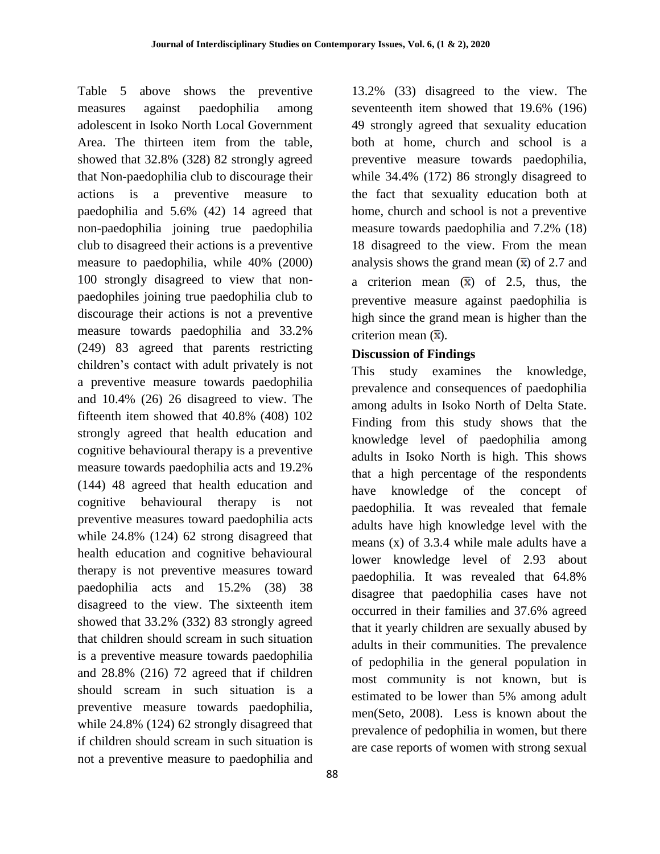Table 5 above shows the preventive measures against paedophilia among adolescent in Isoko North Local Government Area. The thirteen item from the table, showed that 32.8% (328) 82 strongly agreed that Non-paedophilia club to discourage their actions is a preventive measure to paedophilia and 5.6% (42) 14 agreed that non-paedophilia joining true paedophilia club to disagreed their actions is a preventive measure to paedophilia, while 40% (2000) 100 strongly disagreed to view that nonpaedophiles joining true paedophilia club to discourage their actions is not a preventive measure towards paedophilia and 33.2% (249) 83 agreed that parents restricting children's contact with adult privately is not a preventive measure towards paedophilia and 10.4% (26) 26 disagreed to view. The fifteenth item showed that 40.8% (408) 102 strongly agreed that health education and cognitive behavioural therapy is a preventive measure towards paedophilia acts and 19.2% (144) 48 agreed that health education and cognitive behavioural therapy is not preventive measures toward paedophilia acts while 24.8% (124) 62 strong disagreed that health education and cognitive behavioural therapy is not preventive measures toward paedophilia acts and 15.2% (38) 38 disagreed to the view. The sixteenth item showed that 33.2% (332) 83 strongly agreed that children should scream in such situation is a preventive measure towards paedophilia and 28.8% (216) 72 agreed that if children should scream in such situation is a preventive measure towards paedophilia, while 24.8% (124) 62 strongly disagreed that if children should scream in such situation is not a preventive measure to paedophilia and

13.2% (33) disagreed to the view. The seventeenth item showed that 19.6% (196) 49 strongly agreed that sexuality education both at home, church and school is a preventive measure towards paedophilia, while 34.4% (172) 86 strongly disagreed to the fact that sexuality education both at home, church and school is not a preventive measure towards paedophilia and 7.2% (18) 18 disagreed to the view. From the mean analysis shows the grand mean  $(\bar{x})$  of 2.7 and a criterion mean  $(\bar{x})$  of 2.5, thus, the preventive measure against paedophilia is high since the grand mean is higher than the criterion mean  $(\bar{x})$ .

# **Discussion of Findings**

This study examines the knowledge, prevalence and consequences of paedophilia among adults in Isoko North of Delta State. Finding from this study shows that the knowledge level of paedophilia among adults in Isoko North is high. This shows that a high percentage of the respondents have knowledge of the concept of paedophilia. It was revealed that female adults have high knowledge level with the means (x) of 3.3.4 while male adults have a lower knowledge level of 2.93 about paedophilia. It was revealed that 64.8% disagree that paedophilia cases have not occurred in their families and 37.6% agreed that it yearly children are sexually abused by adults in their communities. The prevalence of pedophilia in the general population in most community is not known, but is estimated to be lower than 5% among adult men(Seto, 2008). Less is known about the prevalence of pedophilia in women, but there are case reports of women with strong sexual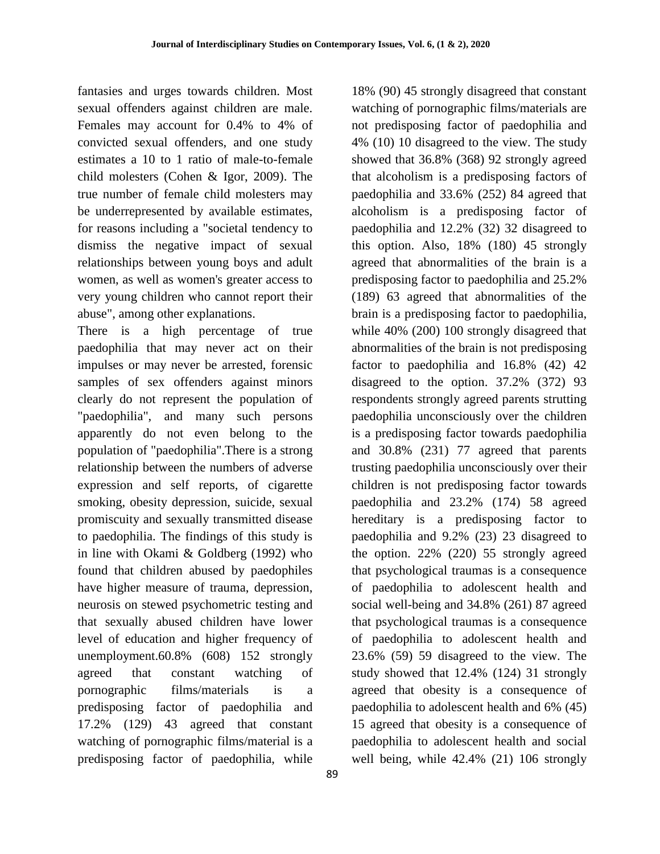fantasies and urges towards children. Most sexual offenders against children are male. Females may account for 0.4% to 4% of convicted sexual offenders, and one study estimates a 10 to 1 ratio of male-to-female child molesters (Cohen & Igor, 2009). The true number of female child molesters may be underrepresented by available estimates, for reasons including a "societal tendency to dismiss the negative impact of sexual relationships between young boys and adult women, as well as women's greater access to very young children who cannot report their abuse", among other explanations.

There is a high percentage of true paedophilia that may never act on their impulses or may never be arrested, forensic samples of sex offenders against minors clearly do not represent the population of "paedophilia", and many such persons apparently do not even belong to the population of "paedophilia".There is a strong relationship between the numbers of adverse expression and self reports, of cigarette smoking, obesity depression, suicide, sexual promiscuity and sexually transmitted disease to paedophilia. The findings of this study is in line with Okami & Goldberg (1992) who found that children abused by paedophiles have higher measure of trauma, depression, neurosis on stewed psychometric testing and that sexually abused children have lower level of education and higher frequency of unemployment.60.8% (608) 152 strongly agreed that constant watching of pornographic films/materials is a predisposing factor of paedophilia and 17.2% (129) 43 agreed that constant watching of pornographic films/material is a predisposing factor of paedophilia, while

18% (90) 45 strongly disagreed that constant watching of pornographic films/materials are not predisposing factor of paedophilia and 4% (10) 10 disagreed to the view. The study showed that 36.8% (368) 92 strongly agreed that alcoholism is a predisposing factors of paedophilia and 33.6% (252) 84 agreed that alcoholism is a predisposing factor of paedophilia and 12.2% (32) 32 disagreed to this option. Also, 18% (180) 45 strongly agreed that abnormalities of the brain is a predisposing factor to paedophilia and 25.2% (189) 63 agreed that abnormalities of the brain is a predisposing factor to paedophilia, while 40% (200) 100 strongly disagreed that abnormalities of the brain is not predisposing factor to paedophilia and 16.8% (42) 42 disagreed to the option. 37.2% (372) 93 respondents strongly agreed parents strutting paedophilia unconsciously over the children is a predisposing factor towards paedophilia and 30.8% (231) 77 agreed that parents trusting paedophilia unconsciously over their children is not predisposing factor towards paedophilia and 23.2% (174) 58 agreed hereditary is a predisposing factor to paedophilia and 9.2% (23) 23 disagreed to the option. 22% (220) 55 strongly agreed that psychological traumas is a consequence of paedophilia to adolescent health and social well-being and 34.8% (261) 87 agreed that psychological traumas is a consequence of paedophilia to adolescent health and 23.6% (59) 59 disagreed to the view. The study showed that 12.4% (124) 31 strongly agreed that obesity is a consequence of paedophilia to adolescent health and 6% (45) 15 agreed that obesity is a consequence of paedophilia to adolescent health and social well being, while 42.4% (21) 106 strongly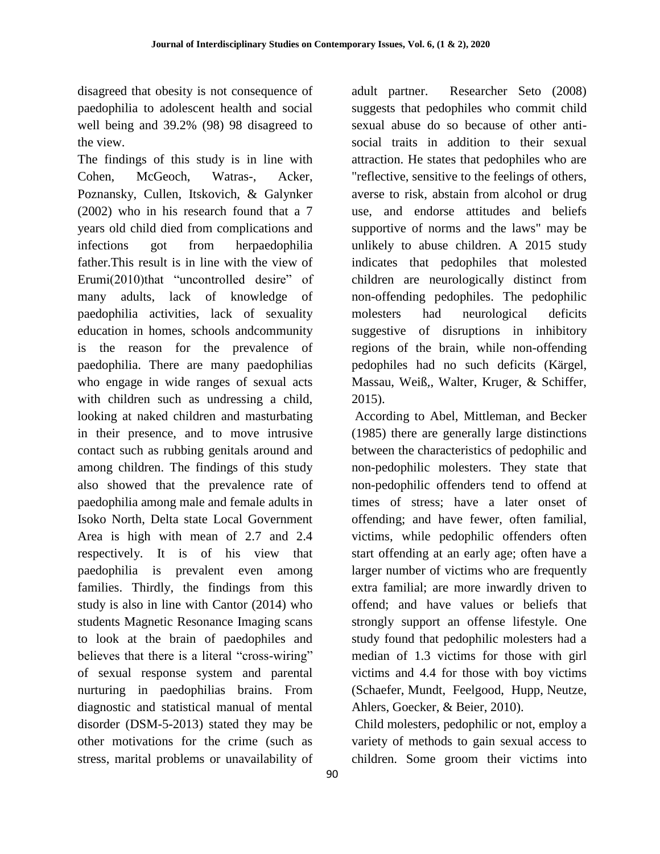disagreed that obesity is not consequence of paedophilia to adolescent health and social well being and 39.2% (98) 98 disagreed to the view.

The findings of this study is in line with Cohen, McGeoch, Watras-, Acker, Poznansky, Cullen, Itskovich, & Galynker (2002) who in his research found that a 7 years old child died from complications and infections got from herpaedophilia father.This result is in line with the view of Erumi(2010)that "uncontrolled desire" of many adults, lack of knowledge of paedophilia activities, lack of sexuality education in homes, schools andcommunity is the reason for the prevalence of paedophilia. There are many paedophilias who engage in wide ranges of sexual acts with children such as undressing a child, looking at naked children and masturbating in their presence, and to move intrusive contact such as rubbing genitals around and among children. The findings of this study also showed that the prevalence rate of paedophilia among male and female adults in Isoko North, Delta state Local Government Area is high with mean of 2.7 and 2.4 respectively. It is of his view that paedophilia is prevalent even among families. Thirdly, the findings from this study is also in line with Cantor (2014) who students Magnetic Resonance Imaging scans to look at the brain of paedophiles and believes that there is a literal "cross-wiring" of sexual response system and parental nurturing in paedophilias brains. From diagnostic and statistical manual of mental disorder (DSM-5-2013) stated they may be other motivations for the crime (such as stress, marital problems or unavailability of

adult partner. Researcher Seto (2008) suggests that pedophiles who commit child sexual abuse do so because of other antisocial traits in addition to their sexual attraction. He states that pedophiles who are "reflective, sensitive to the feelings of others, averse to risk, abstain from alcohol or drug use, and endorse attitudes and beliefs supportive of norms and the laws" may be unlikely to abuse children. A 2015 study indicates that pedophiles that molested children are neurologically distinct from non-offending pedophiles. The pedophilic molesters had neurological deficits suggestive of disruptions in inhibitory regions of the brain, while non-offending pedophiles had no such deficits (Kärgel, Massau, Weiß,, Walter, Kruger, & Schiffer, 2015).

According to Abel, Mittleman, and Becker (1985) there are generally large distinctions between the characteristics of pedophilic and non-pedophilic molesters. They state that non-pedophilic offenders tend to offend at times of stress; have a later onset of offending; and have fewer, often familial, victims, while pedophilic offenders often start offending at an early age; often have a larger number of victims who are frequently extra familial; are more inwardly driven to offend; and have values or beliefs that strongly support an offense lifestyle. One study found that pedophilic molesters had a median of 1.3 victims for those with girl victims and 4.4 for those with boy victims (Schaefer, Mundt, Feelgood, Hupp, Neutze, Ahlers, Goecker, & Beier, 2010).

Child molesters, pedophilic or not, employ a variety of methods to gain sexual access to children. Some groom their victims into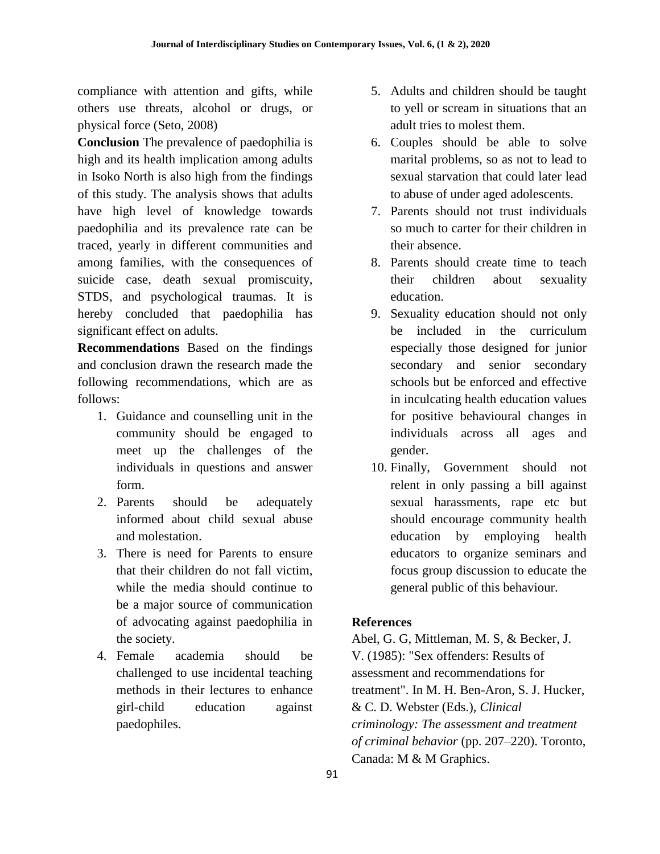compliance with attention and gifts, while others use threats, alcohol or drugs, or physical force (Seto, 2008)

**Conclusion** The prevalence of paedophilia is high and its health implication among adults in Isoko North is also high from the findings of this study. The analysis shows that adults have high level of knowledge towards paedophilia and its prevalence rate can be traced, yearly in different communities and among families, with the consequences of suicide case, death sexual promiscuity, STDS, and psychological traumas. It is hereby concluded that paedophilia has significant effect on adults.

**Recommendations** Based on the findings and conclusion drawn the research made the following recommendations, which are as follows:

- 1. Guidance and counselling unit in the community should be engaged to meet up the challenges of the individuals in questions and answer form.
- 2. Parents should be adequately informed about child sexual abuse and molestation.
- 3. There is need for Parents to ensure that their children do not fall victim, while the media should continue to be a major source of communication of advocating against paedophilia in the society.
- 4. Female academia should be challenged to use incidental teaching methods in their lectures to enhance girl-child education against paedophiles.
- 5. Adults and children should be taught to yell or scream in situations that an adult tries to molest them.
- 6. Couples should be able to solve marital problems, so as not to lead to sexual starvation that could later lead to abuse of under aged adolescents.
- 7. Parents should not trust individuals so much to carter for their children in their absence.
- 8. Parents should create time to teach their children about sexuality education.
- 9. Sexuality education should not only be included in the curriculum especially those designed for junior secondary and senior secondary schools but be enforced and effective in inculcating health education values for positive behavioural changes in individuals across all ages and gender.
- 10. Finally, Government should not relent in only passing a bill against sexual harassments, rape etc but should encourage community health education by employing health educators to organize seminars and focus group discussion to educate the general public of this behaviour.

# **References**

Abel, G. G, Mittleman, M. S, & Becker, J. V. (1985): "Sex offenders: Results of assessment and recommendations for treatment". In M. H. Ben-Aron, S. J. Hucker, & C. D. Webster (Eds.), *Clinical criminology: The assessment and treatment of criminal behavior* (pp. 207–220). Toronto, Canada: M & M Graphics.